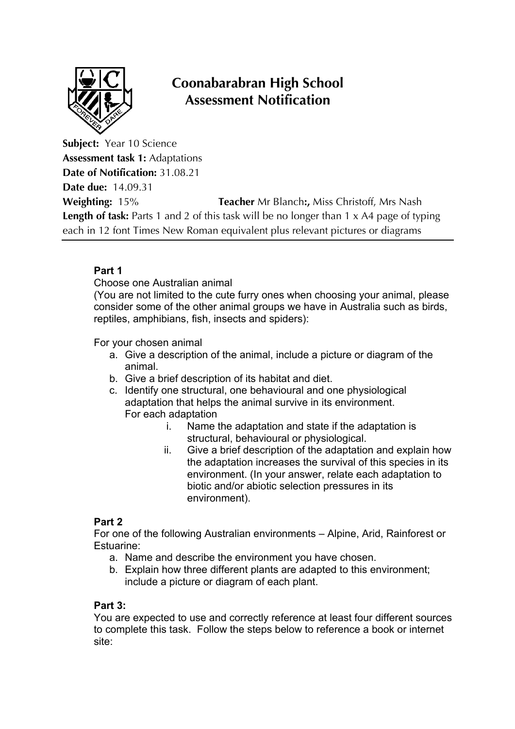

# **Coonabarabran High School Assessment Notification**

**Subject:** Year 10 Science **Assessment task 1:** Adaptations **Date of Notification:** 31.08.21 **Date due:** 14.09.31 **Weighting:** 15% **Teacher** Mr Blanch**:,** Miss Christoff, Mrs Nash **Length of task:** Parts 1 and 2 of this task will be no longer than 1 x A4 page of typing each in 12 font Times New Roman equivalent plus relevant pictures or diagrams

## **Part 1**

### Choose one Australian animal

(You are not limited to the cute furry ones when choosing your animal, please consider some of the other animal groups we have in Australia such as birds, reptiles, amphibians, fish, insects and spiders):

For your chosen animal

- a. Give a description of the animal, include a picture or diagram of the animal.
- b. Give a brief description of its habitat and diet.
- c. Identify one structural, one behavioural and one physiological adaptation that helps the animal survive in its environment. For each adaptation
	- i. Name the adaptation and state if the adaptation is structural, behavioural or physiological.
	- ii. Give a brief description of the adaptation and explain how the adaptation increases the survival of this species in its environment. (In your answer, relate each adaptation to biotic and/or abiotic selection pressures in its environment).

### **Part 2**

For one of the following Australian environments – Alpine, Arid, Rainforest or Estuarine:

- a. Name and describe the environment you have chosen.
- b. Explain how three different plants are adapted to this environment; include a picture or diagram of each plant.

#### **Part 3:**

You are expected to use and correctly reference at least four different sources to complete this task. Follow the steps below to reference a book or internet site: